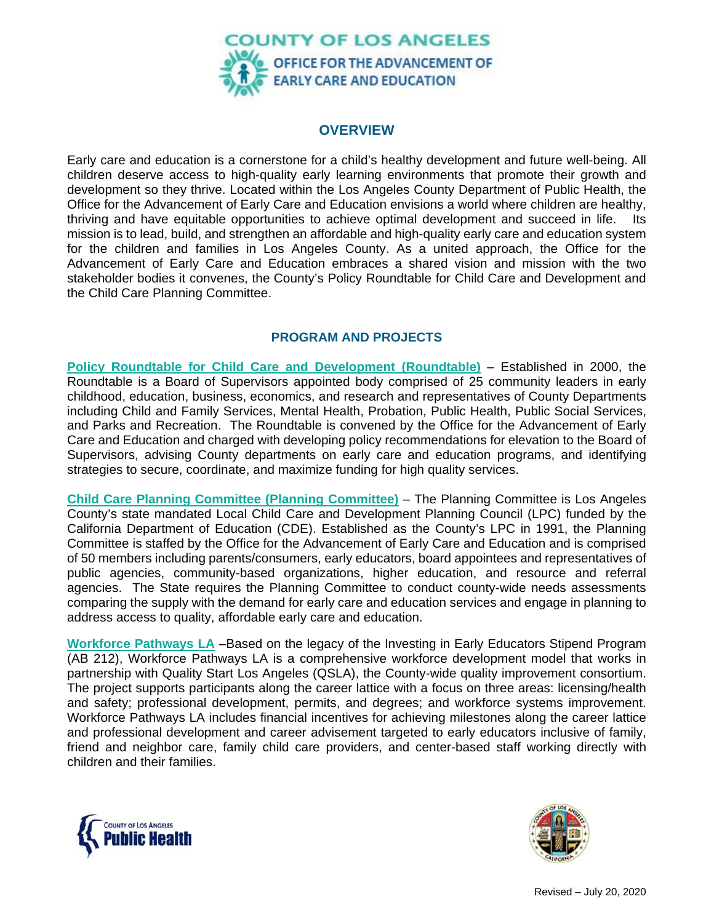

## **OVERVIEW**

Early care and education is a cornerstone for a child's healthy development and future well-being. All children deserve access to high-quality early learning environments that promote their growth and development so they thrive. Located within the Los Angeles County Department of Public Health, the Office for the Advancement of Early Care and Education envisions a world where children are healthy, thriving and have equitable opportunities to achieve optimal development and succeed in life. Its mission is to lead, build, and strengthen an affordable and high-quality early care and education system for the children and families in Los Angeles County. As a united approach, the Office for the Advancement of Early Care and Education embraces a shared vision and mission with the two stakeholder bodies it convenes, the County's Policy Roundtable for Child Care and Development and the Child Care Planning Committee.

## **PROGRAM AND PROJECTS**

**Policy Roundtable for Child Care and Development (Roundtable)** – Established in 2000, the Roundtable is a Board of Supervisors appointed body comprised of 25 community leaders in early childhood, education, business, economics, and research and representatives of County Departments including Child and Family Services, Mental Health, Probation, Public Health, Public Social Services, and Parks and Recreation. The Roundtable is convened by the Office for the Advancement of Early Care and Education and charged with developing policy recommendations for elevation to the Board of Supervisors, advising County departments on early care and education programs, and identifying strategies to secure, coordinate, and maximize funding for high quality services.

**Child Care Planning Committee (Planning Committee)** – The Planning Committee is Los Angeles County's state mandated Local Child Care and Development Planning Council (LPC) funded by the California Department of Education (CDE). Established as the County's LPC in 1991, the Planning Committee is staffed by the Office for the Advancement of Early Care and Education and is comprised of 50 members including parents/consumers, early educators, board appointees and representatives of public agencies, community-based organizations, higher education, and resource and referral agencies. The State requires the Planning Committee to conduct county-wide needs assessments comparing the supply with the demand for early care and education services and engage in planning to address access to quality, affordable early care and education.

**Workforce Pathways LA** –Based on the legacy of the Investing in Early Educators Stipend Program (AB 212), Workforce Pathways LA is a comprehensive workforce development model that works in partnership with Quality Start Los Angeles (QSLA), the County-wide quality improvement consortium. The project supports participants along the career lattice with a focus on three areas: licensing/health and safety; professional development, permits, and degrees; and workforce systems improvement. Workforce Pathways LA includes financial incentives for achieving milestones along the career lattice and professional development and career advisement targeted to early educators inclusive of family, friend and neighbor care, family child care providers, and center-based staff working directly with children and their families.